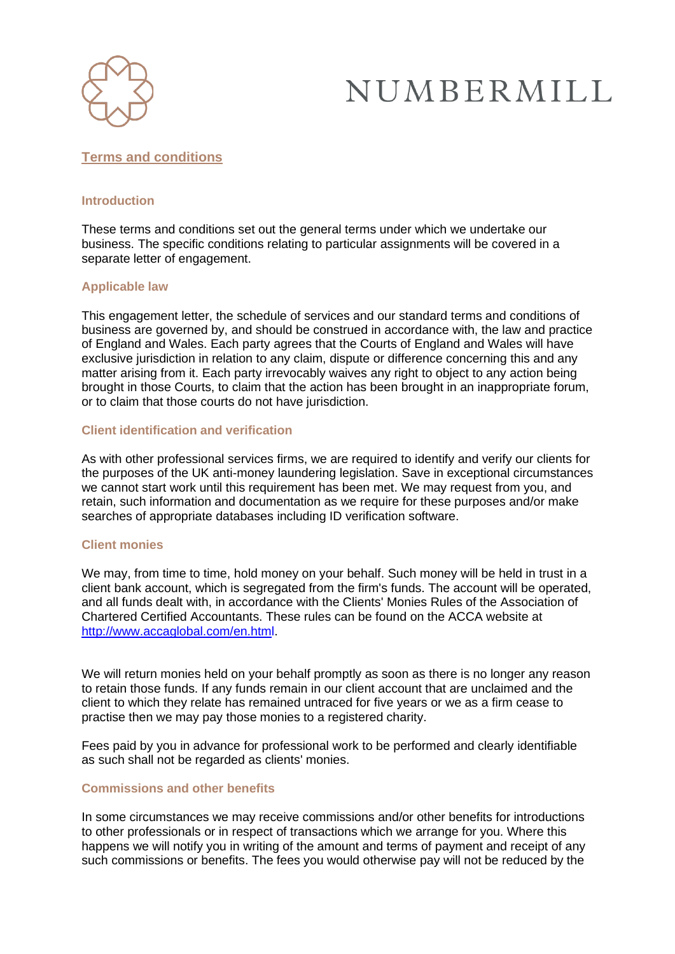

## **Terms and conditions**

## **Introduction**

These terms and conditions set out the general terms under which we undertake our business. The specific conditions relating to particular assignments will be covered in a separate letter of engagement.

## **Applicable law**

This engagement letter, the schedule of services and our standard terms and conditions of business are governed by, and should be construed in accordance with, the law and practice of England and Wales. Each party agrees that the Courts of England and Wales will have exclusive jurisdiction in relation to any claim, dispute or difference concerning this and any matter arising from it. Each party irrevocably waives any right to object to any action being brought in those Courts, to claim that the action has been brought in an inappropriate forum, or to claim that those courts do not have jurisdiction.

## **Client identification and verification**

As with other professional services firms, we are required to identify and verify our clients for the purposes of the UK anti-money laundering legislation. Save in exceptional circumstances we cannot start work until this requirement has been met. We may request from you, and retain, such information and documentation as we require for these purposes and/or make searches of appropriate databases including ID verification software.

#### **Client monies**

We may, from time to time, hold money on your behalf. Such money will be held in trust in a client bank account, which is segregated from the firm's funds. The account will be operated, and all funds dealt with, in accordance with the Clients' Monies Rules of the Association of Chartered Certified Accountants. These rules can be found on the ACCA website at [http://www.accaglobal.com/en.html.](http://www.accaglobal.com/en.html)

We will return monies held on your behalf promptly as soon as there is no longer any reason to retain those funds. If any funds remain in our client account that are unclaimed and the client to which they relate has remained untraced for five years or we as a firm cease to practise then we may pay those monies to a registered charity.

Fees paid by you in advance for professional work to be performed and clearly identifiable as such shall not be regarded as clients' monies.

#### **Commissions and other benefits**

In some circumstances we may receive commissions and/or other benefits for introductions to other professionals or in respect of transactions which we arrange for you. Where this happens we will notify you in writing of the amount and terms of payment and receipt of any such commissions or benefits. The fees you would otherwise pay will not be reduced by the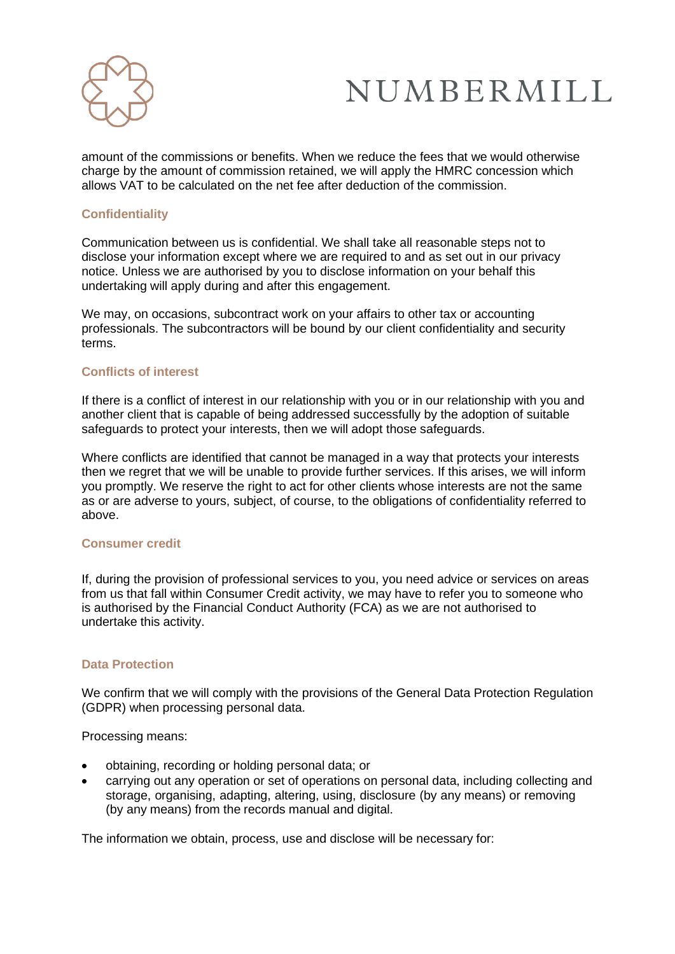

amount of the commissions or benefits. When we reduce the fees that we would otherwise charge by the amount of commission retained, we will apply the HMRC concession which allows VAT to be calculated on the net fee after deduction of the commission.

## **Confidentiality**

Communication between us is confidential. We shall take all reasonable steps not to disclose your information except where we are required to and as set out in our privacy notice. Unless we are authorised by you to disclose information on your behalf this undertaking will apply during and after this engagement.

We may, on occasions, subcontract work on your affairs to other tax or accounting professionals. The subcontractors will be bound by our client confidentiality and security terms.

## **Conflicts of interest**

If there is a conflict of interest in our relationship with you or in our relationship with you and another client that is capable of being addressed successfully by the adoption of suitable safeguards to protect your interests, then we will adopt those safeguards.

Where conflicts are identified that cannot be managed in a way that protects your interests then we regret that we will be unable to provide further services. If this arises, we will inform you promptly. We reserve the right to act for other clients whose interests are not the same as or are adverse to yours, subject, of course, to the obligations of confidentiality referred to above.

#### **Consumer credit**

If, during the provision of professional services to you, you need advice or services on areas from us that fall within Consumer Credit activity, we may have to refer you to someone who is authorised by the Financial Conduct Authority (FCA) as we are not authorised to undertake this activity.

#### **Data Protection**

We confirm that we will comply with the provisions of the General Data Protection Regulation (GDPR) when processing personal data.

Processing means:

- obtaining, recording or holding personal data; or
- carrying out any operation or set of operations on personal data, including collecting and storage, organising, adapting, altering, using, disclosure (by any means) or removing (by any means) from the records manual and digital.

The information we obtain, process, use and disclose will be necessary for: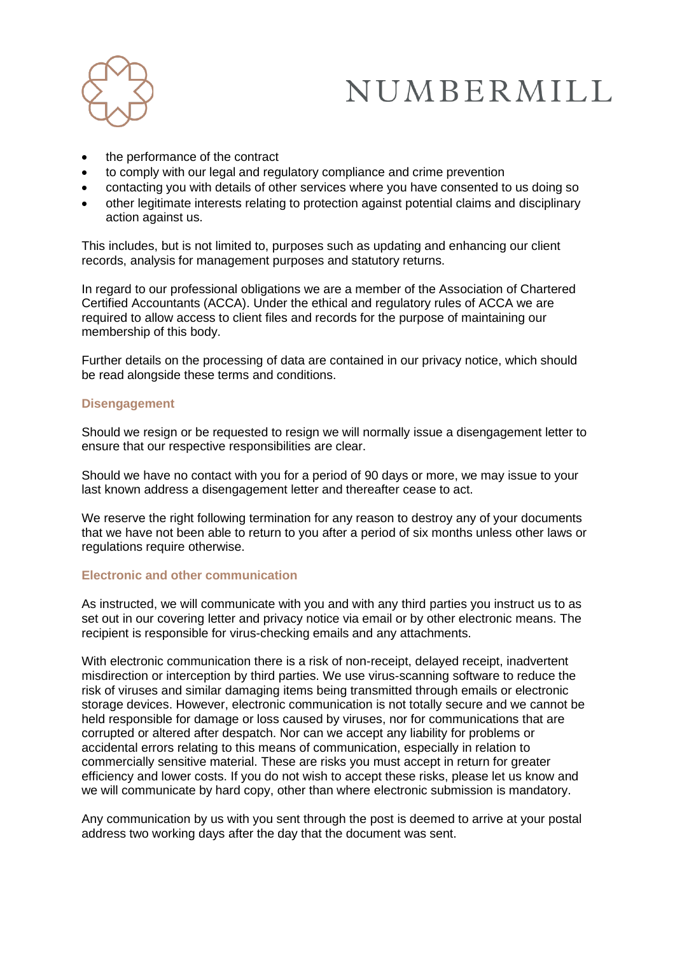

- the performance of the contract
- to comply with our legal and regulatory compliance and crime prevention
- contacting you with details of other services where you have consented to us doing so
- other legitimate interests relating to protection against potential claims and disciplinary action against us.

This includes, but is not limited to, purposes such as updating and enhancing our client records, analysis for management purposes and statutory returns.

In regard to our professional obligations we are a member of the Association of Chartered Certified Accountants (ACCA). Under the ethical and regulatory rules of ACCA we are required to allow access to client files and records for the purpose of maintaining our membership of this body.

Further details on the processing of data are contained in our privacy notice, which should be read alongside these terms and conditions.

#### **Disengagement**

Should we resign or be requested to resign we will normally issue a disengagement letter to ensure that our respective responsibilities are clear.

Should we have no contact with you for a period of 90 days or more, we may issue to your last known address a disengagement letter and thereafter cease to act.

We reserve the right following termination for any reason to destroy any of your documents that we have not been able to return to you after a period of six months unless other laws or regulations require otherwise.

## **Electronic and other communication**

As instructed, we will communicate with you and with any third parties you instruct us to as set out in our covering letter and privacy notice via email or by other electronic means. The recipient is responsible for virus-checking emails and any attachments.

With electronic communication there is a risk of non-receipt, delayed receipt, inadvertent misdirection or interception by third parties. We use virus-scanning software to reduce the risk of viruses and similar damaging items being transmitted through emails or electronic storage devices. However, electronic communication is not totally secure and we cannot be held responsible for damage or loss caused by viruses, nor for communications that are corrupted or altered after despatch. Nor can we accept any liability for problems or accidental errors relating to this means of communication, especially in relation to commercially sensitive material. These are risks you must accept in return for greater efficiency and lower costs. If you do not wish to accept these risks, please let us know and we will communicate by hard copy, other than where electronic submission is mandatory.

Any communication by us with you sent through the post is deemed to arrive at your postal address two working days after the day that the document was sent.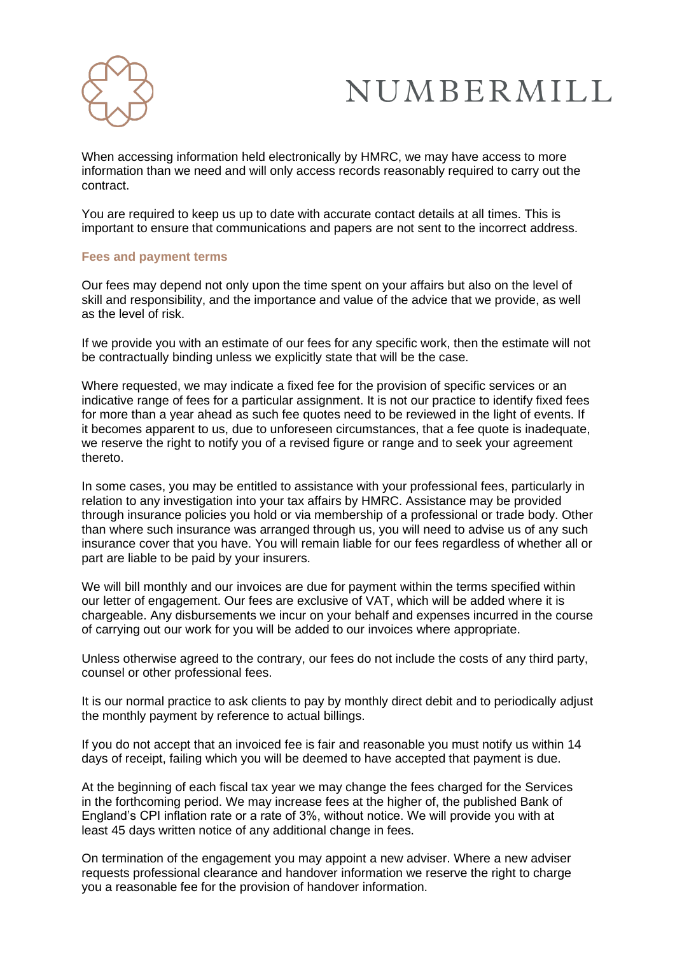

When accessing information held electronically by HMRC, we may have access to more information than we need and will only access records reasonably required to carry out the contract.

You are required to keep us up to date with accurate contact details at all times. This is important to ensure that communications and papers are not sent to the incorrect address.

#### **Fees and payment terms**

Our fees may depend not only upon the time spent on your affairs but also on the level of skill and responsibility, and the importance and value of the advice that we provide, as well as the level of risk.

If we provide you with an estimate of our fees for any specific work, then the estimate will not be contractually binding unless we explicitly state that will be the case.

Where requested, we may indicate a fixed fee for the provision of specific services or an indicative range of fees for a particular assignment. It is not our practice to identify fixed fees for more than a year ahead as such fee quotes need to be reviewed in the light of events. If it becomes apparent to us, due to unforeseen circumstances, that a fee quote is inadequate, we reserve the right to notify you of a revised figure or range and to seek your agreement thereto.

In some cases, you may be entitled to assistance with your professional fees, particularly in relation to any investigation into your tax affairs by HMRC. Assistance may be provided through insurance policies you hold or via membership of a professional or trade body. Other than where such insurance was arranged through us, you will need to advise us of any such insurance cover that you have. You will remain liable for our fees regardless of whether all or part are liable to be paid by your insurers.

We will bill monthly and our invoices are due for payment within the terms specified within our letter of engagement. Our fees are exclusive of VAT, which will be added where it is chargeable. Any disbursements we incur on your behalf and expenses incurred in the course of carrying out our work for you will be added to our invoices where appropriate.

Unless otherwise agreed to the contrary, our fees do not include the costs of any third party, counsel or other professional fees.

It is our normal practice to ask clients to pay by monthly direct debit and to periodically adjust the monthly payment by reference to actual billings.

If you do not accept that an invoiced fee is fair and reasonable you must notify us within 14 days of receipt, failing which you will be deemed to have accepted that payment is due.

At the beginning of each fiscal tax year we may change the fees charged for the Services in the forthcoming period. We may increase fees at the higher of, the published Bank of England's CPI inflation rate or a rate of 3%, without notice. We will provide you with at least 45 days written notice of any additional change in fees.

On termination of the engagement you may appoint a new adviser. Where a new adviser requests professional clearance and handover information we reserve the right to charge you a reasonable fee for the provision of handover information.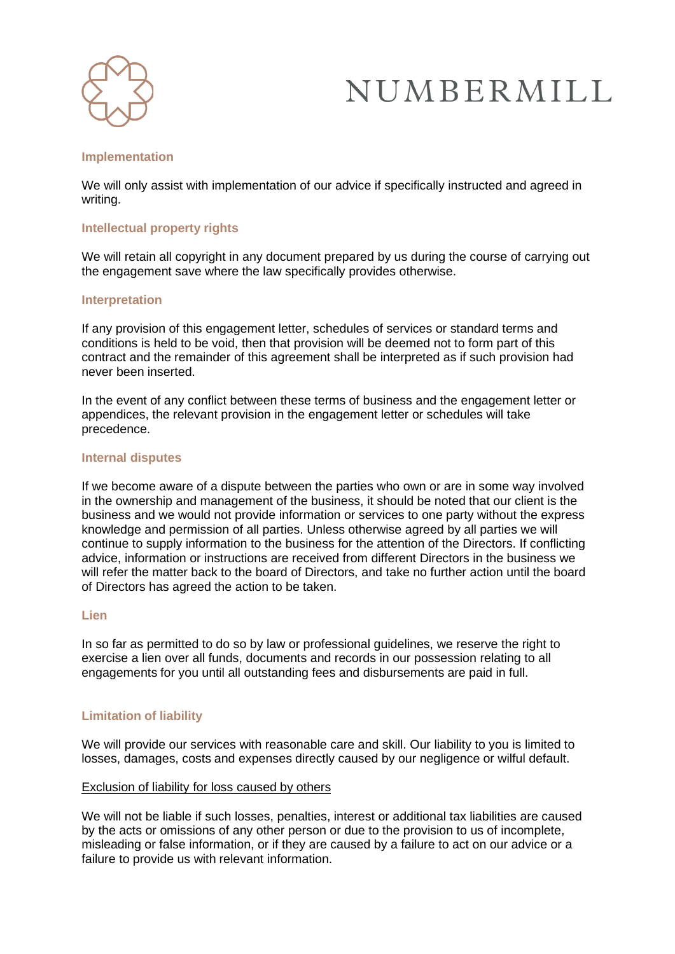

#### **Implementation**

We will only assist with implementation of our advice if specifically instructed and agreed in writing.

## **Intellectual property rights**

We will retain all copyright in any document prepared by us during the course of carrying out the engagement save where the law specifically provides otherwise.

#### **Interpretation**

If any provision of this engagement letter, schedules of services or standard terms and conditions is held to be void, then that provision will be deemed not to form part of this contract and the remainder of this agreement shall be interpreted as if such provision had never been inserted.

In the event of any conflict between these terms of business and the engagement letter or appendices, the relevant provision in the engagement letter or schedules will take precedence.

#### **Internal disputes**

If we become aware of a dispute between the parties who own or are in some way involved in the ownership and management of the business, it should be noted that our client is the business and we would not provide information or services to one party without the express knowledge and permission of all parties. Unless otherwise agreed by all parties we will continue to supply information to the business for the attention of the Directors. If conflicting advice, information or instructions are received from different Directors in the business we will refer the matter back to the board of Directors, and take no further action until the board of Directors has agreed the action to be taken.

## **Lien**

In so far as permitted to do so by law or professional guidelines, we reserve the right to exercise a lien over all funds, documents and records in our possession relating to all engagements for you until all outstanding fees and disbursements are paid in full.

## **Limitation of liability**

We will provide our services with reasonable care and skill. Our liability to you is limited to losses, damages, costs and expenses directly caused by our negligence or wilful default.

#### Exclusion of liability for loss caused by others

We will not be liable if such losses, penalties, interest or additional tax liabilities are caused by the acts or omissions of any other person or due to the provision to us of incomplete, misleading or false information, or if they are caused by a failure to act on our advice or a failure to provide us with relevant information.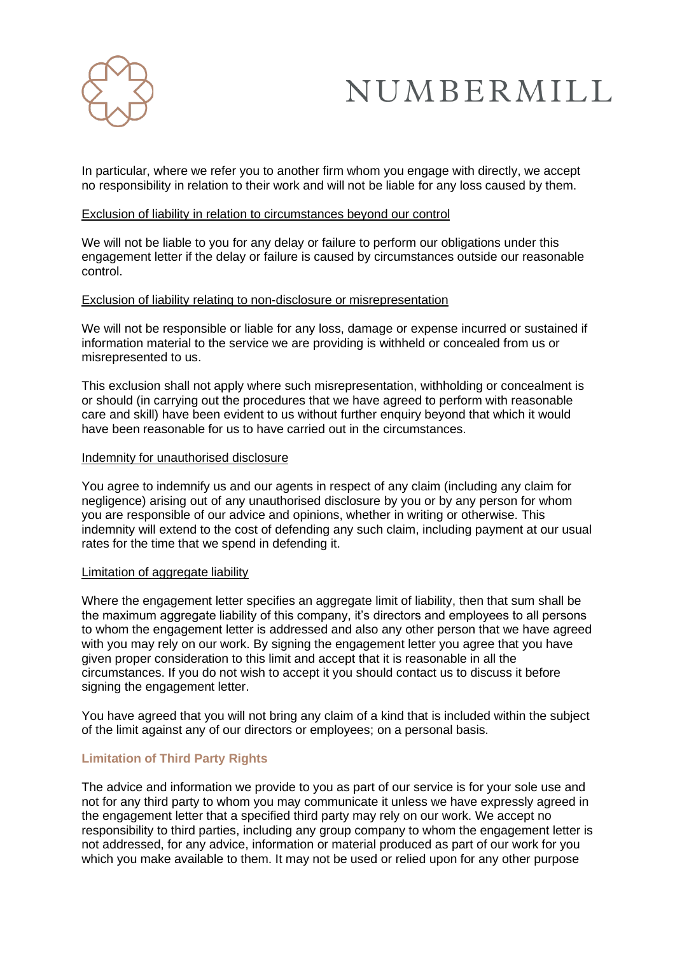

In particular, where we refer you to another firm whom you engage with directly, we accept no responsibility in relation to their work and will not be liable for any loss caused by them.

#### Exclusion of liability in relation to circumstances beyond our control

We will not be liable to you for any delay or failure to perform our obligations under this engagement letter if the delay or failure is caused by circumstances outside our reasonable control.

## Exclusion of liability relating to non-disclosure or misrepresentation

We will not be responsible or liable for any loss, damage or expense incurred or sustained if information material to the service we are providing is withheld or concealed from us or misrepresented to us.

This exclusion shall not apply where such misrepresentation, withholding or concealment is or should (in carrying out the procedures that we have agreed to perform with reasonable care and skill) have been evident to us without further enquiry beyond that which it would have been reasonable for us to have carried out in the circumstances.

#### Indemnity for unauthorised disclosure

You agree to indemnify us and our agents in respect of any claim (including any claim for negligence) arising out of any unauthorised disclosure by you or by any person for whom you are responsible of our advice and opinions, whether in writing or otherwise. This indemnity will extend to the cost of defending any such claim, including payment at our usual rates for the time that we spend in defending it.

#### Limitation of aggregate liability

Where the engagement letter specifies an aggregate limit of liability, then that sum shall be the maximum aggregate liability of this company, it's directors and employees to all persons to whom the engagement letter is addressed and also any other person that we have agreed with you may rely on our work. By signing the engagement letter you agree that you have given proper consideration to this limit and accept that it is reasonable in all the circumstances. If you do not wish to accept it you should contact us to discuss it before signing the engagement letter.

You have agreed that you will not bring any claim of a kind that is included within the subject of the limit against any of our directors or employees; on a personal basis.

## **Limitation of Third Party Rights**

The advice and information we provide to you as part of our service is for your sole use and not for any third party to whom you may communicate it unless we have expressly agreed in the engagement letter that a specified third party may rely on our work. We accept no responsibility to third parties, including any group company to whom the engagement letter is not addressed, for any advice, information or material produced as part of our work for you which you make available to them. It may not be used or relied upon for any other purpose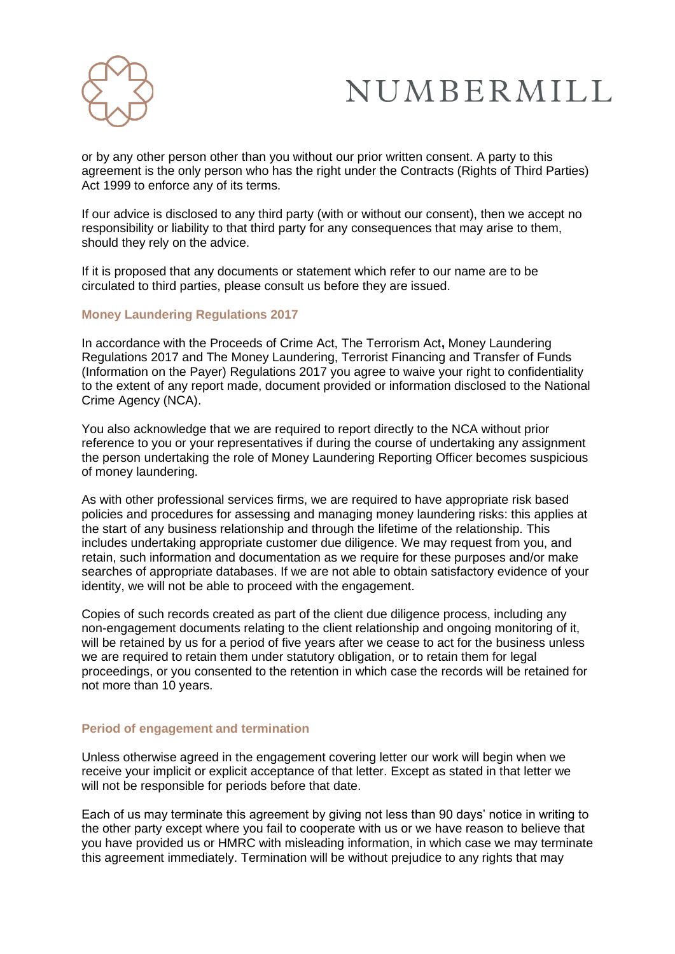

or by any other person other than you without our prior written consent. A party to this agreement is the only person who has the right under the Contracts (Rights of Third Parties) Act 1999 to enforce any of its terms.

If our advice is disclosed to any third party (with or without our consent), then we accept no responsibility or liability to that third party for any consequences that may arise to them, should they rely on the advice.

If it is proposed that any documents or statement which refer to our name are to be circulated to third parties, please consult us before they are issued.

## **Money Laundering Regulations 2017**

In accordance with the Proceeds of Crime Act, The Terrorism Act**,** Money Laundering Regulations 2017 and The Money Laundering, Terrorist Financing and Transfer of Funds (Information on the Payer) Regulations 2017 you agree to waive your right to confidentiality to the extent of any report made, document provided or information disclosed to the National Crime Agency (NCA).

You also acknowledge that we are required to report directly to the NCA without prior reference to you or your representatives if during the course of undertaking any assignment the person undertaking the role of Money Laundering Reporting Officer becomes suspicious of money laundering.

As with other professional services firms, we are required to have appropriate risk based policies and procedures for assessing and managing money laundering risks: this applies at the start of any business relationship and through the lifetime of the relationship. This includes undertaking appropriate customer due diligence. We may request from you, and retain, such information and documentation as we require for these purposes and/or make searches of appropriate databases. If we are not able to obtain satisfactory evidence of your identity, we will not be able to proceed with the engagement.

Copies of such records created as part of the client due diligence process, including any non-engagement documents relating to the client relationship and ongoing monitoring of it, will be retained by us for a period of five years after we cease to act for the business unless we are required to retain them under statutory obligation, or to retain them for legal proceedings, or you consented to the retention in which case the records will be retained for not more than 10 years.

#### **Period of engagement and termination**

Unless otherwise agreed in the engagement covering letter our work will begin when we receive your implicit or explicit acceptance of that letter. Except as stated in that letter we will not be responsible for periods before that date.

Each of us may terminate this agreement by giving not less than 90 days' notice in writing to the other party except where you fail to cooperate with us or we have reason to believe that you have provided us or HMRC with misleading information, in which case we may terminate this agreement immediately. Termination will be without prejudice to any rights that may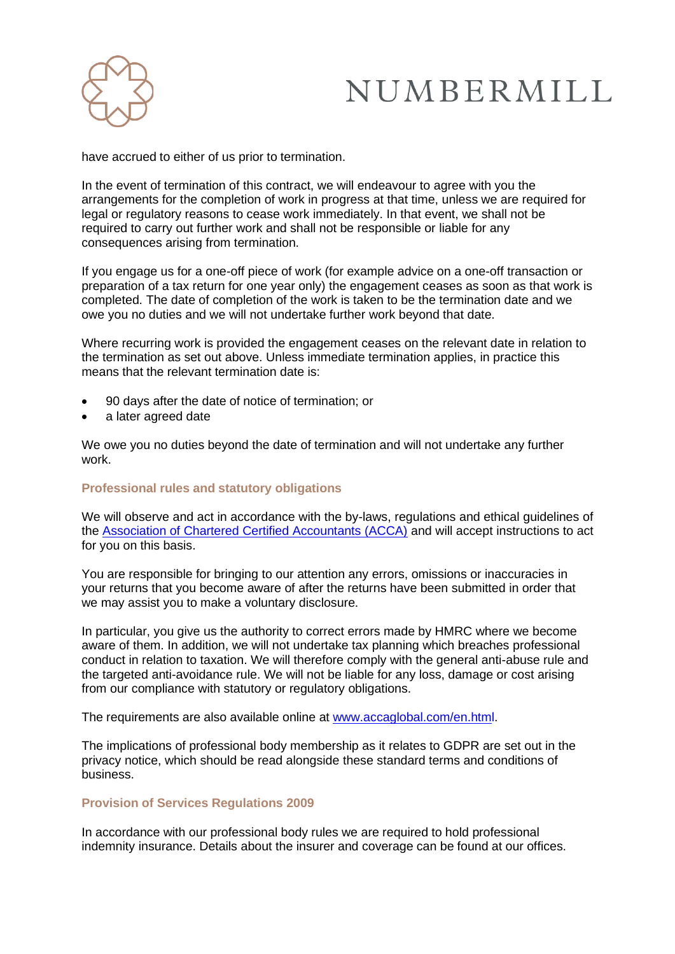

have accrued to either of us prior to termination.

In the event of termination of this contract, we will endeavour to agree with you the arrangements for the completion of work in progress at that time, unless we are required for legal or regulatory reasons to cease work immediately. In that event, we shall not be required to carry out further work and shall not be responsible or liable for any consequences arising from termination.

If you engage us for a one-off piece of work (for example advice on a one-off transaction or preparation of a tax return for one year only) the engagement ceases as soon as that work is completed. The date of completion of the work is taken to be the termination date and we owe you no duties and we will not undertake further work beyond that date.

Where recurring work is provided the engagement ceases on the relevant date in relation to the termination as set out above. Unless immediate termination applies, in practice this means that the relevant termination date is:

- 90 days after the date of notice of termination; or
- a later agreed date

We owe you no duties beyond the date of termination and will not undertake any further work.

## **Professional rules and statutory obligations**

We will observe and act in accordance with the by-laws, regulations and ethical guidelines of the [Association of Chartered Certified Accountants \(ACCA\)](http://www.accaglobal.com/uk/en.html) and will accept instructions to act for you on this basis.

You are responsible for bringing to our attention any errors, omissions or inaccuracies in your returns that you become aware of after the returns have been submitted in order that we may assist you to make a voluntary disclosure.

In particular, you give us the authority to correct errors made by HMRC where we become aware of them. In addition, we will not undertake tax planning which breaches professional conduct in relation to taxation. We will therefore comply with the general anti-abuse rule and the targeted anti-avoidance rule. We will not be liable for any loss, damage or cost arising from our compliance with statutory or regulatory obligations.

The requirements are also available online at [www.accaglobal.com/en.html.](http://www.accaglobal.com/en.html)

The implications of professional body membership as it relates to GDPR are set out in the privacy notice, which should be read alongside these standard terms and conditions of business.

#### **Provision of Services Regulations 2009**

In accordance with our professional body rules we are required to hold professional indemnity insurance. Details about the insurer and coverage can be found at our offices.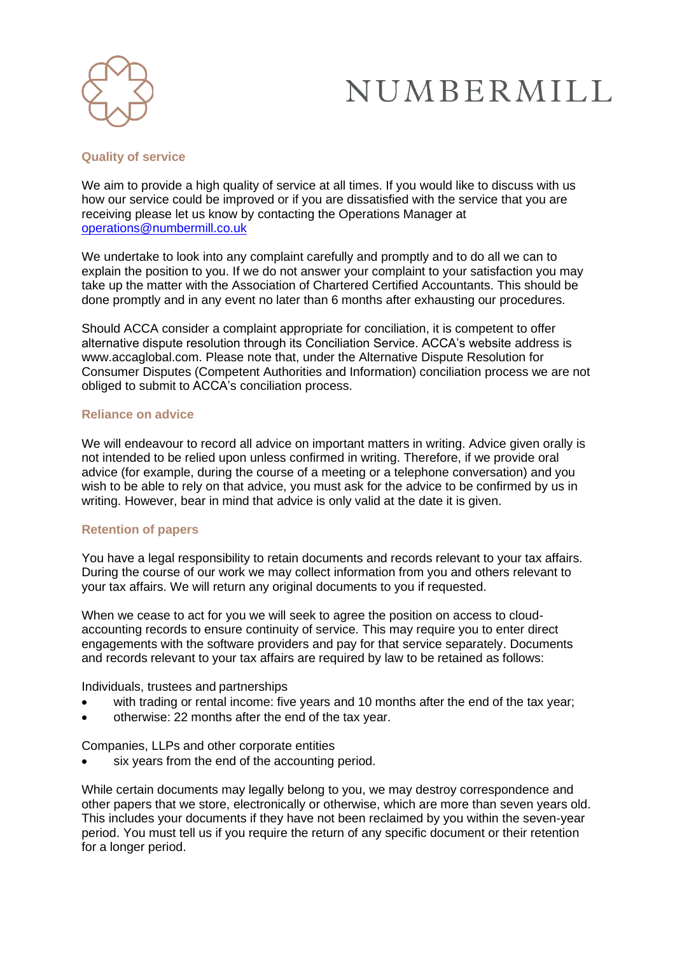

## **Quality of service**

We aim to provide a high quality of service at all times. If you would like to discuss with us how our service could be improved or if you are dissatisfied with the service that you are receiving please let us know by contacting the Operations Manager at [operations@numbermill.co.uk](mailto:operations@numbermill.co.uk)

We undertake to look into any complaint carefully and promptly and to do all we can to explain the position to you. If we do not answer your complaint to your satisfaction you may take up the matter with the Association of Chartered Certified Accountants. This should be done promptly and in any event no later than 6 months after exhausting our procedures.

Should ACCA consider a complaint appropriate for conciliation, it is competent to offer alternative dispute resolution through its Conciliation Service. ACCA's website address is [www.accaglobal.com. P](http://www.accaglobal.com/)lease note that, under the Alternative Dispute Resolution for Consumer Disputes (Competent Authorities and Information) conciliation process we are not obliged to submit to ACCA's conciliation process.

## **Reliance on advice**

We will endeavour to record all advice on important matters in writing. Advice given orally is not intended to be relied upon unless confirmed in writing. Therefore, if we provide oral advice (for example, during the course of a meeting or a telephone conversation) and you wish to be able to rely on that advice, you must ask for the advice to be confirmed by us in writing. However, bear in mind that advice is only valid at the date it is given.

## **Retention of papers**

You have a legal responsibility to retain documents and records relevant to your tax affairs. During the course of our work we may collect information from you and others relevant to your tax affairs. We will return any original documents to you if requested.

When we cease to act for you we will seek to agree the position on access to cloudaccounting records to ensure continuity of service. This may require you to enter direct engagements with the software providers and pay for that service separately. Documents and records relevant to your tax affairs are required by law to be retained as follows:

Individuals, trustees and partnerships

- with trading or rental income: five years and 10 months after the end of the tax year;
- otherwise: 22 months after the end of the tax year.

Companies, LLPs and other corporate entities

six years from the end of the accounting period.

While certain documents may legally belong to you, we may destroy correspondence and other papers that we store, electronically or otherwise, which are more than seven years old. This includes your documents if they have not been reclaimed by you within the seven-year period. You must tell us if you require the return of any specific document or their retention for a longer period.